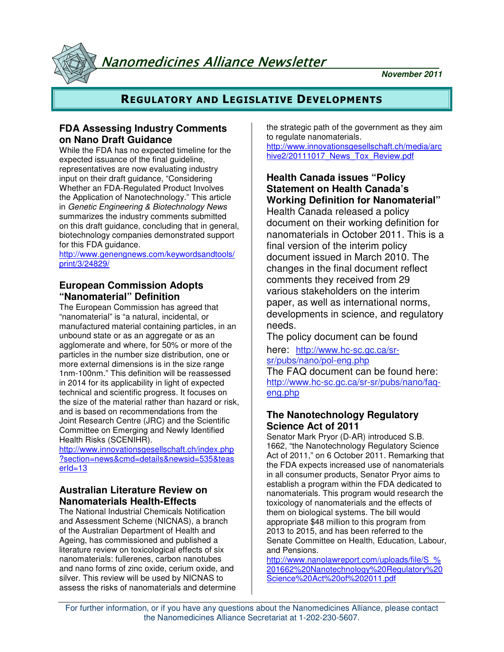**November 2011**

Nanomedicines Alliance Newsletter

# **REGULATORY AND LEGISLATIVE DEVELOPMENTS**

# **FDA Assessing Industry Comments on Nano Draft Guidance**

While the FDA has no expected timeline for the expected issuance of the final guideline, representatives are now evaluating industry input on their draft guidance, "Considering Whether an FDA-Regulated Product Involves the Application of Nanotechnology." This article in Genetic Engineering & Biotechnology News summarizes the industry comments submitted on this draft guidance, concluding that in general, biotechnology companies demonstrated support for this FDA guidance.

http://www.genengnews.com/keywordsandtools/ print/3/24829/

## **European Commission Adopts "Nanomaterial" Definition**

The European Commission has agreed that "nanomaterial" is "a natural, incidental, or manufactured material containing particles, in an unbound state or as an aggregate or as an agglomerate and where, for 50% or more of the particles in the number size distribution, one or more external dimensions is in the size range 1nm-100nm." This definition will be reassessed in 2014 for its applicability in light of expected technical and scientific progress. It focuses on the size of the material rather than hazard or risk, and is based on recommendations from the Joint Research Centre (JRC) and the Scientific Committee on Emerging and Newly Identified Health Risks (SCENIHR).

http://www.innovationsgesellschaft.ch/index.php ?section=news&cmd=details&newsid=535&teas erId=13

## **Australian Literature Review on Nanomaterials Health-Effects**

The National Industrial Chemicals Notification and Assessment Scheme (NICNAS), a branch of the Australian Department of Health and Ageing, has commissioned and published a literature review on toxicological effects of six nanomaterials: fullerenes, carbon nanotubes and nano forms of zinc oxide, cerium oxide, and silver. This review will be used by NICNAS to assess the risks of nanomaterials and determine the strategic path of the government as they aim to regulate nanomaterials. http://www.innovationsgesellschaft.ch/media/arc hive2/20111017\_News\_Tox\_Review.pdf

**Health Canada issues "Policy Statement on Health Canada's Working Definition for Nanomaterial"**

Health Canada released a policy document on their working definition for nanomaterials in October 2011. This is a final version of the interim policy document issued in March 2010. The changes in the final document reflect comments they received from 29 various stakeholders on the interim paper, as well as international norms, developments in science, and regulatory needs.

The policy document can be found

here: http://www.hc-sc.gc.ca/srsr/pubs/nano/pol-eng.php The FAQ document can be found here: http://www.hc-sc.gc.ca/sr-sr/pubs/nano/faqeng.php

# **The Nanotechnology Regulatory Science Act of 2011**

Senator Mark Pryor (D-AR) introduced S.B. 1662, "the Nanotechnology Regulatory Science Act of 2011," on 6 October 2011. Remarking that the FDA expects increased use of nanomaterials in all consumer products, Senator Pryor aims to establish a program within the FDA dedicated to nanomaterials. This program would research the toxicology of nanomaterials and the effects of them on biological systems. The bill would appropriate \$48 million to this program from 2013 to 2015, and has been referred to the Senate Committee on Health, Education, Labour, and Pensions.

http://www.nanolawreport.com/uploads/file/S\_% 201662%20Nanotechnology%20Regulatory%20 Science%20Act%20of%202011.pdf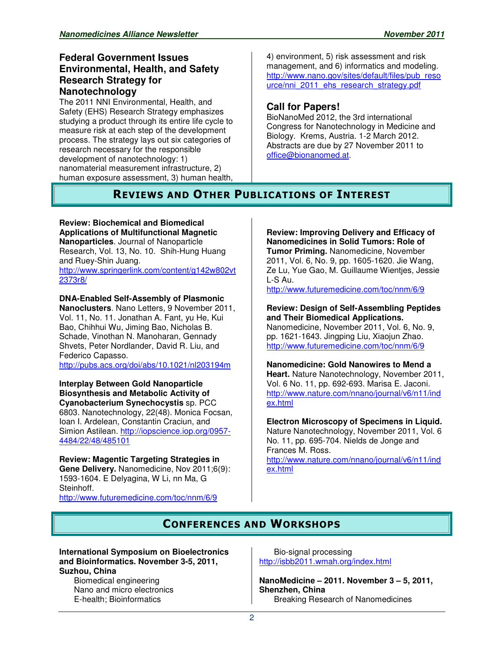## **Federal Government Issues Environmental, Health, and Safety Research Strategy for Nanotechnology**

The 2011 NNI Environmental, Health, and Safety (EHS) Research Strategy emphasizes studying a product through its entire life cycle to measure risk at each step of the development process. The strategy lays out six categories of research necessary for the responsible development of nanotechnology: 1) nanomaterial measurement infrastructure, 2) human exposure assessment, 3) human health,

4) environment, 5) risk assessment and risk management, and 6) informatics and modeling. http://www.nano.gov/sites/default/files/pub\_reso urce/nni\_2011\_ehs\_research\_strategy.pdf

# **Call for Papers!**

BioNanoMed 2012, the 3rd international Congress for Nanotechnology in Medicine and Biology. Krems, Austria. 1-2 March 2012. Abstracts are due by 27 November 2011 to office@bionanomed.at.

# **REVIEWS AND OTHER PUBLICATIONS OF INTEREST**

**Review: Biochemical and Biomedical Applications of Multifunctional Magnetic Nanoparticles**. Journal of Nanoparticle Research, Vol. 13, No. 10. Shih-Hung Huang and Ruey-Shin Juang. http://www.springerlink.com/content/g142w802vt 2373r8/

**DNA-Enabled Self-Assembly of Plasmonic Nanoclusters**. Nano Letters, 9 November 2011, Vol. 11, No. 11. Jonathan A. Fant, yu He, Kui Bao, Chihhui Wu, Jiming Bao, Nicholas B. Schade, Vinothan N. Manoharan, Gennady Shvets, Peter Nordlander, David R. Liu, and Federico Capasso.

http://pubs.acs.org/doi/abs/10.1021/nl203194m

**Interplay Between Gold Nanoparticle Biosynthesis and Metabolic Activity of Cyanobacterium Synechocystis** sp. PCC 6803. Nanotechnology, 22(48). Monica Focsan, Ioan I. Ardelean, Constantin Craciun, and Simion Astilean. http://iopscience.iop.org/0957- 4484/22/48/485101

**Review: Magentic Targeting Strategies in Gene Delivery.** Nanomedicine, Nov 2011;6(9): 1593-1604. E Delyagina, W Li, nn Ma, G Steinhoff. http://www.futuremedicine.com/toc/nnm/6/9

**Review: Improving Delivery and Efficacy of Nanomedicines in Solid Tumors: Role of Tumor Priming.** Nanomedicine, November 2011, Vol. 6, No. 9, pp. 1605-1620. Jie Wang, Ze Lu, Yue Gao, M. Guillaume Wientjes, Jessie L-S Au.

http://www.futuremedicine.com/toc/nnm/6/9

**Review: Design of Self-Assembling Peptides and Their Biomedical Applications.** Nanomedicine, November 2011, Vol. 6, No. 9, pp. 1621-1643. Jingping Liu, Xiaojun Zhao. http://www.futuremedicine.com/toc/nnm/6/9

**Nanomedicine: Gold Nanowires to Mend a Heart.** Nature Nanotechnology, November 2011, Vol. 6 No. 11, pp. 692-693. Marisa E. Jaconi. http://www.nature.com/nnano/journal/v6/n11/ind ex.html

**Electron Microscopy of Specimens in Liquid.** Nature Nanotechnology, November 2011, Vol. 6 No. 11, pp. 695-704. Nields de Jonge and Frances M. Ross. http://www.nature.com/nnano/journal/v6/n11/ind ex.html

# **CONFERENCES AND WORKSHOPS**

## **International Symposium on Bioelectronics and Bioinformatics. November 3-5, 2011, Suzhou, China**

Biomedical engineering Nano and micro electronics E-health; Bioinformatics

Bio-signal processing http://isbb2011.wmah.org/index.html

**NanoMedicine – 2011. November 3 – 5, 2011, Shenzhen, China**  Breaking Research of Nanomedicines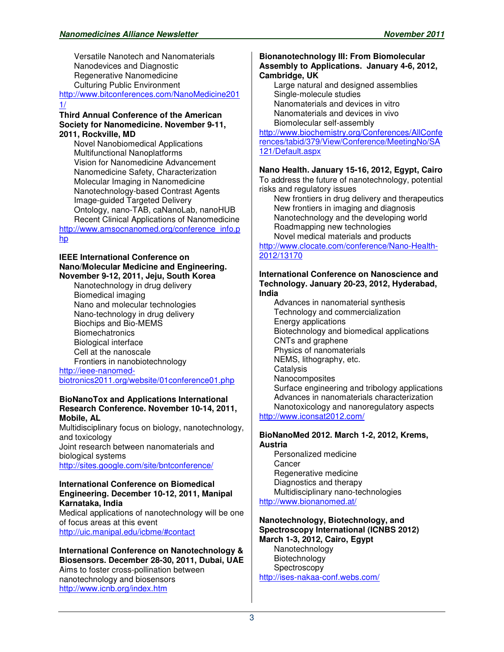Versatile Nanotech and Nanomaterials Nanodevices and Diagnostic Regenerative Nanomedicine Culturing Public Environment

http://www.bitconferences.com/NanoMedicine201 1/

## **Third Annual Conference of the American Society for Nanomedicine. November 9-11, 2011, Rockville, MD**

Novel Nanobiomedical Applications Multifunctional Nanoplatforms Vision for Nanomedicine Advancement Nanomedicine Safety, Characterization Molecular Imaging in Nanomedicine Nanotechnology-based Contrast Agents Image-guided Targeted Delivery Ontology, nano-TAB, caNanoLab, nanoHUB Recent Clinical Applications of Nanomedicine

http://www.amsocnanomed.org/conference\_info.p hp

### **IEEE International Conference on Nano/Molecular Medicine and Engineering. November 9-12, 2011, Jeju, South Korea**

Nanotechnology in drug delivery Biomedical imaging Nano and molecular technologies Nano-technology in drug delivery Biochips and Bio-MEMS **Biomechatronics** Biological interface Cell at the nanoscale Frontiers in nanobiotechnology

http://ieee-nanomedbiotronics2011.org/website/01conference01.php

## **BioNanoTox and Applications International Research Conference. November 10-14, 2011, Mobile, AL**

Multidisciplinary focus on biology, nanotechnology, and toxicology Joint research between nanomaterials and biological systems http://sites.google.com/site/bntconference/

### **International Conference on Biomedical Engineering. December 10-12, 2011, Manipal Karnataka, India**

Medical applications of nanotechnology will be one of focus areas at this event http://uic.manipal.edu/icbme/#contact

## **International Conference on Nanotechnology & Biosensors. December 28-30, 2011, Dubai, UAE**  Aims to foster cross-pollination between nanotechnology and biosensors http://www.icnb.org/index.htm

### **Bionanotechnology III: From Biomolecular Assembly to Applications. January 4-6, 2012, Cambridge, UK**

Large natural and designed assemblies Single-molecule studies Nanomaterials and devices in vitro Nanomaterials and devices in vivo Biomolecular self-assembly

http://www.biochemistry.org/Conferences/AllConfe rences/tabid/379/View/Conference/MeetingNo/SA 121/Default.aspx

## **Nano Health. January 15-16, 2012, Egypt, Cairo**

To address the future of nanotechnology, potential risks and regulatory issues

New frontiers in drug delivery and therapeutics New frontiers in imaging and diagnosis Nanotechnology and the developing world Roadmapping new technologies Novel medical materials and products

http://www.clocate.com/conference/Nano-Health-2012/13170

## **International Conference on Nanoscience and Technology. January 20-23, 2012, Hyderabad, India**

Advances in nanomaterial synthesis Technology and commercialization Energy applications Biotechnology and biomedical applications CNTs and graphene Physics of nanomaterials NEMS, lithography, etc. **Catalysis Nanocomposites** Surface engineering and tribology applications Advances in nanomaterials characterization Nanotoxicology and nanoregulatory aspects http://www.iconsat2012.com/

## **BioNanoMed 2012. March 1-2, 2012, Krems, Austria**

Personalized medicine **Cancer** Regenerative medicine Diagnostics and therapy Multidisciplinary nano-technologies http://www.bionanomed.at/

### **Nanotechnology, Biotechnology, and Spectroscopy International (ICNBS 2012) March 1-3, 2012, Cairo, Egypt**

Nanotechnology **Biotechnology Spectroscopy** http://ises-nakaa-conf.webs.com/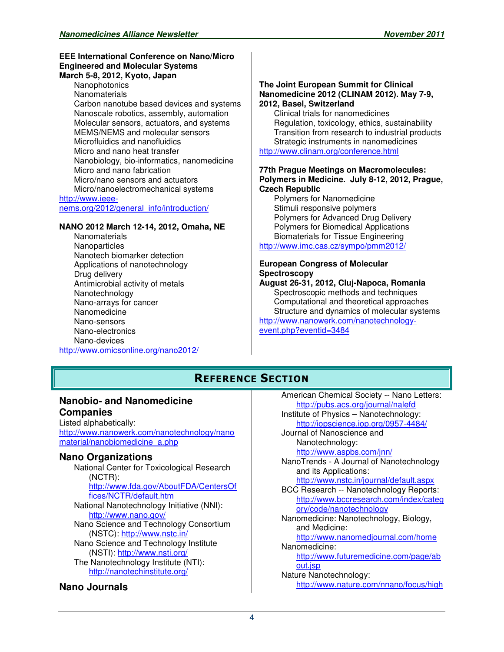## **EEE International Conference on Nano/Micro Engineered and Molecular Systems March 5-8, 2012, Kyoto, Japan**

**Nanophotonics Nanomaterials** Carbon nanotube based devices and systems Nanoscale robotics, assembly, automation Molecular sensors, actuators, and systems MEMS/NEMS and molecular sensors Microfluidics and nanofluidics Micro and nano heat transfer Nanobiology, bio-informatics, nanomedicine Micro and nano fabrication Micro/nano sensors and actuators Micro/nanoelectromechanical systems http://www.ieee-

nems.org/2012/general\_info/introduction/

## **NANO 2012 March 12-14, 2012, Omaha, NE**

Nanomaterials **Nanoparticles** Nanotech biomarker detection Applications of nanotechnology Drug delivery Antimicrobial activity of metals Nanotechnology Nano-arrays for cancer **Nanomedicine** Nano-sensors Nano-electronics Nano-devices

http://www.omicsonline.org/nano2012/

### **The Joint European Summit for Clinical Nanomedicine 2012 (CLINAM 2012). May 7-9, 2012, Basel, Switzerland**

Clinical trials for nanomedicines Regulation, toxicology, ethics, sustainability Transition from research to industrial products Strategic instruments in nanomedicines http://www.clinam.org/conference.html

## **77th Prague Meetings on Macromolecules: Polymers in Medicine. July 8-12, 2012, Prague, Czech Republic**

Polymers for Nanomedicine Stimuli responsive polymers Polymers for Advanced Drug Delivery Polymers for Biomedical Applications Biomaterials for Tissue Engineering http://www.imc.cas.cz/sympo/pmm2012/

## **European Congress of Molecular Spectroscopy**

**August 26-31, 2012, Cluj-Napoca, Romania**  Spectroscopic methods and techniques Computational and theoretical approaches Structure and dynamics of molecular systems http://www.nanowerk.com/nanotechnologyevent.php?eventid=3484

# **REFERENCE SECTION**

# **Nanobio- and Nanomedicine Companies**

Listed alphabetically: http://www.nanowerk.com/nanotechnology/nano material/nanobiomedicine\_a.php

## **Nano Organizations**

National Center for Toxicological Research (NCTR): http://www.fda.gov/AboutFDA/CentersOf fices/NCTR/default.htm National Nanotechnology Initiative (NNI): http://www.nano.gov/ Nano Science and Technology Consortium (NSTC): http://www.nstc.in/ Nano Science and Technology Institute (NSTI): http://www.nsti.org/ The Nanotechnology Institute (NTI): http://nanotechinstitute.org/

## **Nano Journals**

American Chemical Society -- Nano Letters: http://pubs.acs.org/journal/nalefd Institute of Physics – Nanotechnology: http://iopscience.iop.org/0957-4484/ Journal of Nanoscience and Nanotechnology: http://www.aspbs.com/jnn/ NanoTrends - A Journal of Nanotechnology and its Applications: http://www.nstc.in/journal/default.aspx BCC Research -- Nanotechnology Reports: http://www.bccresearch.com/index/categ ory/code/nanotechnology Nanomedicine: Nanotechnology, Biology, and Medicine: http://www.nanomedjournal.com/home Nanomedicine: http://www.futuremedicine.com/page/ab out.jsp Nature Nanotechnology: http://www.nature.com/nnano/focus/high